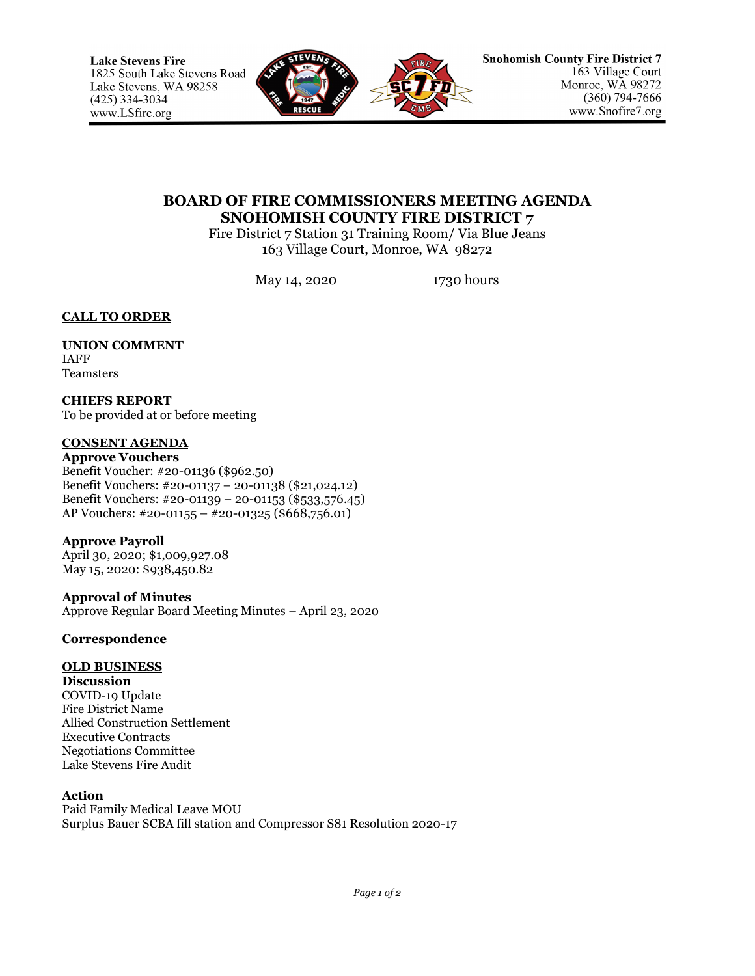

# **BOARD OF FIRE COMMISSIONERS MEETING AGENDA SNOHOMISH COUNTY FIRE DISTRICT 7**

Fire District 7 Station 31 Training Room/ Via Blue Jeans 163 Village Court, Monroe, WA 98272

May 14, 2020 1730 hours

**CALL TO ORDER**

### **UNION COMMENT** IAFF

Teamsters

**CHIEFS REPORT** To be provided at or before meeting

# **CONSENT AGENDA**

**Approve Vouchers** Benefit Voucher: #20-01136 (\$962.50) Benefit Vouchers: #20-01137 – 20-01138 (\$21,024.12) Benefit Vouchers: #20-01139 – 20-01153 (\$533,576.45) AP Vouchers: #20-01155 – #20-01325 (\$668,756.01)

**Approve Payroll** April 30, 2020; \$1,009,927.08 May 15, 2020: \$938,450.82

**Approval of Minutes** Approve Regular Board Meeting Minutes – April 23, 2020

# **Correspondence**

# **OLD BUSINESS**

**Discussion** COVID-19 Update Fire District Name Allied Construction Settlement Executive Contracts Negotiations Committee Lake Stevens Fire Audit

# **Action**

Paid Family Medical Leave MOU Surplus Bauer SCBA fill station and Compressor S81 Resolution 2020-17